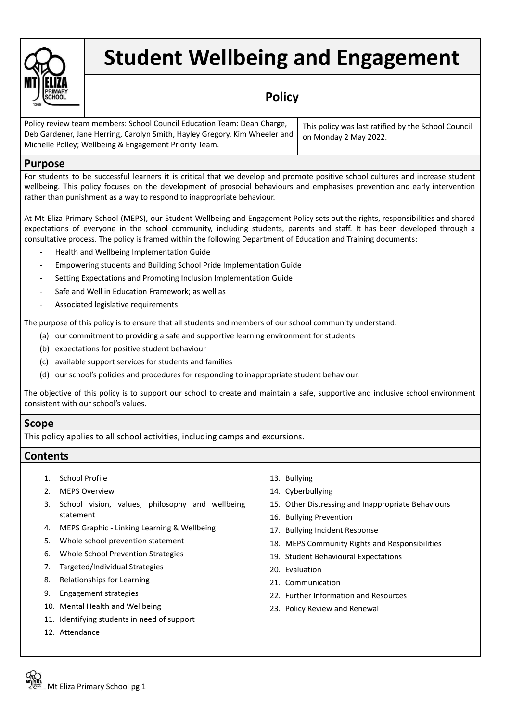

# **Student Wellbeing and Engagement**

## **Policy**

| Policy review team members: School Council Education Team: Dean Charge,                            | This policy was last ratified by the School Council |
|----------------------------------------------------------------------------------------------------|-----------------------------------------------------|
| Deb Gardener, Jane Herring, Carolyn Smith, Hayley Gregory, Kim Wheeler and   on Monday 2 May 2022. |                                                     |
| Michelle Polley; Wellbeing & Engagement Priority Team.                                             |                                                     |

### **Purpose**

For students to be successful learners it is critical that we develop and promote positive school cultures and increase student wellbeing. This policy focuses on the development of prosocial behaviours and emphasises prevention and early intervention rather than punishment as a way to respond to inappropriate behaviour.

At Mt Eliza Primary School (MEPS), our Student Wellbeing and Engagement Policy sets out the rights, responsibilities and shared expectations of everyone in the school community, including students, parents and staff. It has been developed through a consultative process. The policy is framed within the following Department of Education and Training documents:

- Health and Wellbeing Implementation Guide
- Empowering students and Building School Pride Implementation Guide
- Setting Expectations and Promoting Inclusion Implementation Guide
- Safe and Well in Education Framework; as well as
- Associated legislative requirements

The purpose of this policy is to ensure that all students and members of our school community understand:

- (a) our commitment to providing a safe and supportive learning environment for students
- (b) expectations for positive student behaviour
- (c) available support services for students and families
- (d) our school's policies and procedures for responding to inappropriate student behaviour.

The objective of this policy is to support our school to create and maintain a safe, supportive and inclusive school environment consistent with our school's values.

#### **Scope**

This policy applies to all school activities, including camps and excursions.

#### **Contents**

- 1. School Profile
- 2. MEPS Overview
- 3. School vision, values, philosophy and wellbeing statement
- 4. MEPS Graphic Linking Learning & Wellbeing
- 5. Whole school prevention statement
- 6. Whole School Prevention Strategies
- 7. Targeted/Individual Strategies
- 8. Relationships for Learning
- 9. Engagement strategies
- 10. Mental Health and Wellbeing
- 11. Identifying students in need of support
- 12. Attendance
- 13. Bullying
- 14. Cyberbullying
- 15. Other Distressing and Inappropriate Behaviours
- 16. Bullying Prevention
- 17. Bullying Incident Response
- 18. MEPS Community Rights and Responsibilities
- 19. Student Behavioural Expectations
- 20. Evaluation
- 21. Communication
- 22. Further Information and Resources
- 23. Policy Review and Renewal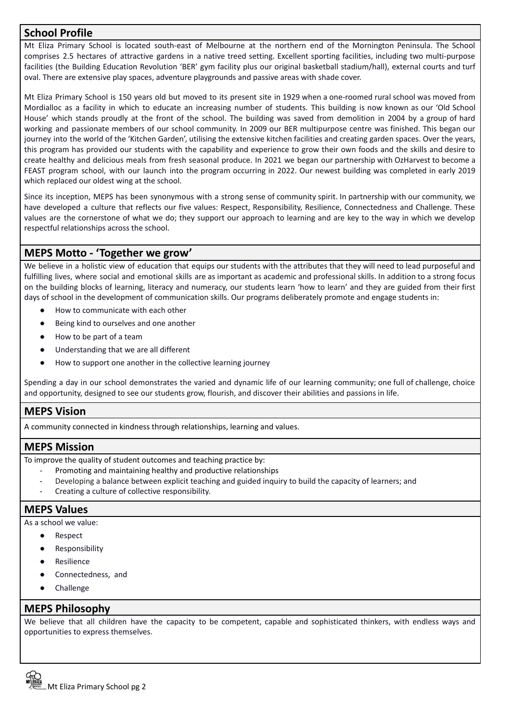## **School Profile**

Mt Eliza Primary School is located south-east of Melbourne at the northern end of the Mornington Peninsula. The School comprises 2.5 hectares of attractive gardens in a native treed setting. Excellent sporting facilities, including two multi-purpose facilities (the Building Education Revolution 'BER' gym facility plus our original basketball stadium/hall), external courts and turf oval. There are extensive play spaces, adventure playgrounds and passive areas with shade cover.

Mt Eliza Primary School is 150 years old but moved to its present site in 1929 when a one-roomed rural school was moved from Mordialloc as a facility in which to educate an increasing number of students. This building is now known as our 'Old School House' which stands proudly at the front of the school. The building was saved from demolition in 2004 by a group of hard working and passionate members of our school community. In 2009 our BER multipurpose centre was finished. This began our journey into the world of the 'Kitchen Garden', utilising the extensive kitchen facilities and creating garden spaces. Over the years, this program has provided our students with the capability and experience to grow their own foods and the skills and desire to create healthy and delicious meals from fresh seasonal produce. In 2021 we began our partnership with OzHarvest to become a FEAST program school, with our launch into the program occurring in 2022. Our newest building was completed in early 2019 which replaced our oldest wing at the school.

Since its inception, MEPS has been synonymous with a strong sense of community spirit. In partnership with our community, we have developed a culture that reflects our five values: Respect, Responsibility, Resilience, Connectedness and Challenge. These values are the cornerstone of what we do; they support our approach to learning and are key to the way in which we develop respectful relationships across the school.

## **MEPS Motto - 'Together we grow'**

We believe in a holistic view of education that equips our students with the attributes that they will need to lead purposeful and fulfilling lives, where social and emotional skills are as important as academic and professional skills. In addition to a strong focus on the building blocks of learning, literacy and numeracy, our students learn 'how to learn' and they are guided from their first days of school in the development of communication skills. Our programs deliberately promote and engage students in:

- How to communicate with each other
- Being kind to ourselves and one another
- How to be part of a team
- Understanding that we are all different
- How to support one another in the collective learning journey

Spending a day in our school demonstrates the varied and dynamic life of our learning community; one full of challenge, choice and opportunity, designed to see our students grow, flourish, and discover their abilities and passions in life.

## **MEPS Vision**

A community connected in kindness through relationships, learning and values.

## **MEPS Mission**

To improve the quality of student outcomes and teaching practice by:

- Promoting and maintaining healthy and productive relationships
- Developing a balance between explicit teaching and guided inquiry to build the capacity of learners; and
- Creating a culture of collective responsibility.

#### **MEPS Values**

As a school we value:

- Respect
- Responsibility
- Resilience
- Connectedness, and
- Challenge

#### **MEPS Philosophy**

We believe that all children have the capacity to be competent, capable and sophisticated thinkers, with endless ways and opportunities to express themselves.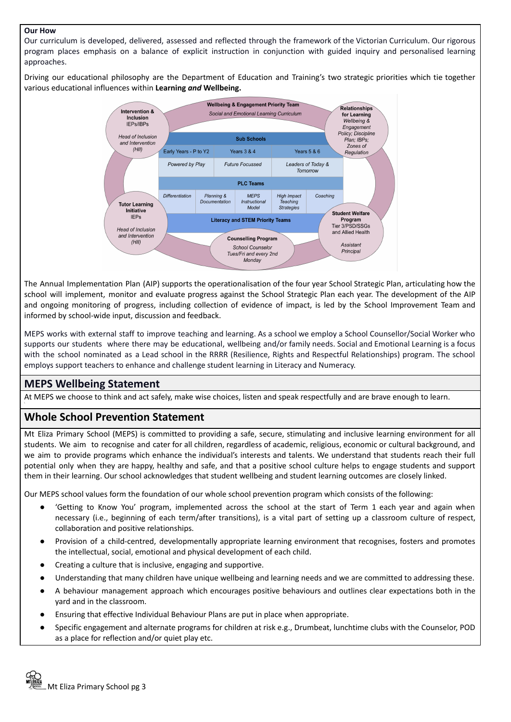#### **Our How**

Our curriculum is developed, delivered, assessed and reflected through the framework of the Victorian Curriculum. Our rigorous program places emphasis on a balance of explicit instruction in conjunction with guided inquiry and personalised learning approaches.

Driving our educational philosophy are the Department of Education and Training's two strategic priorities which tie together various educational influences within **Learning** *and* **Wellbeing.**



The Annual Implementation Plan (AIP) supports the operationalisation of the four year School Strategic Plan, articulating how the school will implement, monitor and evaluate progress against the School Strategic Plan each year. The development of the AIP and ongoing monitoring of progress, including collection of evidence of impact, is led by the School Improvement Team and informed by school-wide input, discussion and feedback.

MEPS works with external staff to improve teaching and learning. As a school we employ a School Counsellor/Social Worker who supports our students where there may be educational, wellbeing and/or family needs. Social and Emotional Learning is a focus with the school nominated as a Lead school in the RRRR (Resilience, Rights and Respectful Relationships) program. The school employs support teachers to enhance and challenge student learning in Literacy and Numeracy.

## **MEPS Wellbeing Statement**

At MEPS we choose to think and act safely, make wise choices, listen and speak respectfully and are brave enough to learn.

## **Whole School Prevention Statement**

Mt Eliza Primary School (MEPS) is committed to providing a safe, secure, stimulating and inclusive learning environment for all students. We aim to recognise and cater for all children, regardless of academic, religious, economic or cultural background, and we aim to provide programs which enhance the individual's interests and talents. We understand that students reach their full potential only when they are happy, healthy and safe, and that a positive school culture helps to engage students and support them in their learning. Our school acknowledges that student wellbeing and student learning outcomes are closely linked.

Our MEPS school values form the foundation of our whole school prevention program which consists of the following:

- 'Getting to Know You' program, implemented across the school at the start of Term 1 each year and again when necessary (i.e., beginning of each term/after transitions), is a vital part of setting up a classroom culture of respect, collaboration and positive relationships.
- Provision of a child-centred, developmentally appropriate learning environment that recognises, fosters and promotes the intellectual, social, emotional and physical development of each child.
- Creating a culture that is inclusive, engaging and supportive.
- Understanding that many children have unique wellbeing and learning needs and we are committed to addressing these.
- A behaviour management approach which encourages positive behaviours and outlines clear expectations both in the yard and in the classroom.
- Ensuring that effective Individual Behaviour Plans are put in place when appropriate.
- Specific engagement and alternate programs for children at risk e.g., Drumbeat, lunchtime clubs with the Counselor, POD as a place for reflection and/or quiet play etc.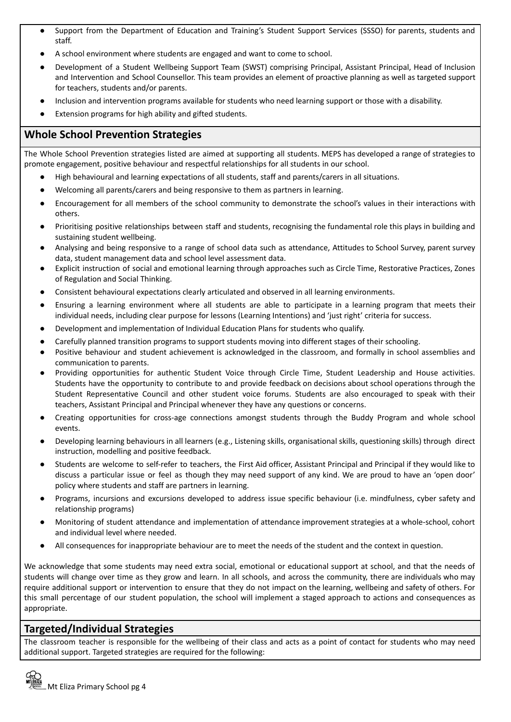- Support from the Department of Education and Training's Student Support Services (SSSO) for parents, students and staff.
- A school environment where students are engaged and want to come to school.
- Development of a Student Wellbeing Support Team (SWST) comprising Principal, Assistant Principal, Head of Inclusion and Intervention and School Counsellor. This team provides an element of proactive planning as well as targeted support for teachers, students and/or parents.
- Inclusion and intervention programs available for students who need learning support or those with a disability.
- Extension programs for high ability and gifted students.

## **Whole School Prevention Strategies**

The Whole School Prevention strategies listed are aimed at supporting all students. MEPS has developed a range of strategies to promote engagement, positive behaviour and respectful relationships for all students in our school.

- High behavioural and learning expectations of all students, staff and parents/carers in all situations.
- Welcoming all parents/carers and being responsive to them as partners in learning.
- Encouragement for all members of the school community to demonstrate the school's values in their interactions with others.
- Prioritising positive relationships between staff and students, recognising the fundamental role this plays in building and sustaining student wellbeing.
- Analysing and being responsive to a range of school data such as attendance, Attitudes to School Survey, parent survey data, student management data and school level assessment data.
- Explicit instruction of social and emotional learning through approaches such as Circle Time, Restorative Practices, Zones of Regulation and Social Thinking.
- Consistent behavioural expectations clearly articulated and observed in all learning environments.
- Ensuring a learning environment where all students are able to participate in a learning program that meets their individual needs, including clear purpose for lessons (Learning Intentions) and 'just right' criteria for success.
- Development and implementation of Individual Education Plans for students who qualify.
- Carefully planned transition programs to support students moving into different stages of their schooling.
- Positive behaviour and student achievement is acknowledged in the classroom, and formally in school assemblies and communication to parents.
- Providing opportunities for authentic Student Voice through Circle Time, Student Leadership and House activities. Students have the opportunity to contribute to and provide feedback on decisions about school operations through the Student Representative Council and other student voice forums. Students are also encouraged to speak with their teachers, Assistant Principal and Principal whenever they have any questions or concerns.
- Creating opportunities for cross-age connections amongst students through the Buddy Program and whole school events.
- Developing learning behaviours in all learners (e.g., Listening skills, organisational skills, questioning skills) through direct instruction, modelling and positive feedback.
- Students are welcome to self-refer to teachers, the First Aid officer, Assistant Principal and Principal if they would like to discuss a particular issue or feel as though they may need support of any kind. We are proud to have an 'open door' policy where students and staff are partners in learning.
- Programs, incursions and excursions developed to address issue specific behaviour (i.e. mindfulness, cyber safety and relationship programs)
- Monitoring of student attendance and implementation of attendance improvement strategies at a whole-school, cohort and individual level where needed.
- All consequences for inappropriate behaviour are to meet the needs of the student and the context in question.

We acknowledge that some students may need extra social, emotional or educational support at school, and that the needs of students will change over time as they grow and learn. In all schools, and across the community, there are individuals who may require additional support or intervention to ensure that they do not impact on the learning, wellbeing and safety of others. For this small percentage of our student population, the school will implement a staged approach to actions and consequences as appropriate.

## **Targeted/Individual Strategies**

The classroom teacher is responsible for the wellbeing of their class and acts as a point of contact for students who may need additional support. Targeted strategies are required for the following: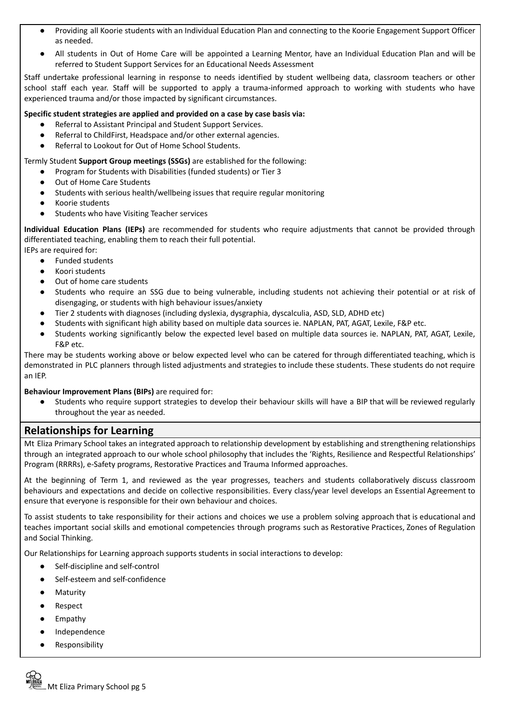- Providing all Koorie students with an Individual Education Plan and connecting to the Koorie Engagement Support Officer as needed.
- All students in Out of Home Care will be appointed a Learning Mentor, have an Individual Education Plan and will be referred to Student Support Services for an Educational Needs Assessment

Staff undertake professional learning in response to needs identified by student wellbeing data, classroom teachers or other school staff each year. Staff will be supported to apply a trauma-informed approach to working with students who have experienced trauma and/or those impacted by significant circumstances.

#### **Specific student strategies are applied and provided on a case by case basis via:**

- Referral to Assistant Principal and Student Support Services.
- Referral to ChildFirst, Headspace and/or other external agencies.
- Referral to Lookout for Out of Home School Students.

Termly Student **Support Group meetings (SSGs)** are established for the following:

- Program for Students with Disabilities (funded students) or Tier 3
- Out of Home Care Students
- Students with serious health/wellbeing issues that require regular monitoring
- Koorie students
- Students who have Visiting Teacher services

**Individual Education Plans (IEPs)** are recommended for students who require adjustments that cannot be provided through differentiated teaching, enabling them to reach their full potential.

IEPs are required for:

- Funded students
- Koori students
- Out of home care students
- Students who require an SSG due to being vulnerable, including students not achieving their potential or at risk of disengaging, or students with high behaviour issues/anxiety
- Tier 2 students with diagnoses (including dyslexia, dysgraphia, dyscalculia, ASD, SLD, ADHD etc)
- Students with significant high ability based on multiple data sources ie. NAPLAN, PAT, AGAT, Lexile, F&P etc.
- Students working significantly below the expected level based on multiple data sources ie. NAPLAN, PAT, AGAT, Lexile, F&P etc.

There may be students working above or below expected level who can be catered for through differentiated teaching, which is demonstrated in PLC planners through listed adjustments and strategies to include these students. These students do not require an IEP.

#### **Behaviour Improvement Plans (BIPs)** are required for:

Students who require support strategies to develop their behaviour skills will have a BIP that will be reviewed regularly throughout the year as needed.

## **Relationships for Learning**

Mt Eliza Primary School takes an integrated approach to relationship development by establishing and strengthening relationships through an integrated approach to our whole school philosophy that includes the 'Rights, Resilience and Respectful Relationships' Program (RRRRs), e-Safety programs, Restorative Practices and Trauma Informed approaches.

At the beginning of Term 1, and reviewed as the year progresses, teachers and students collaboratively discuss classroom behaviours and expectations and decide on collective responsibilities. Every class/year level develops an Essential Agreement to ensure that everyone is responsible for their own behaviour and choices.

To assist students to take responsibility for their actions and choices we use a problem solving approach that is educational and teaches important social skills and emotional competencies through programs such as Restorative Practices, Zones of Regulation and Social Thinking.

Our Relationships for Learning approach supports students in social interactions to develop:

- Self-discipline and self-control
- Self-esteem and self-confidence
- Maturity
- Respect
- Empathy
- Independence
- Responsibility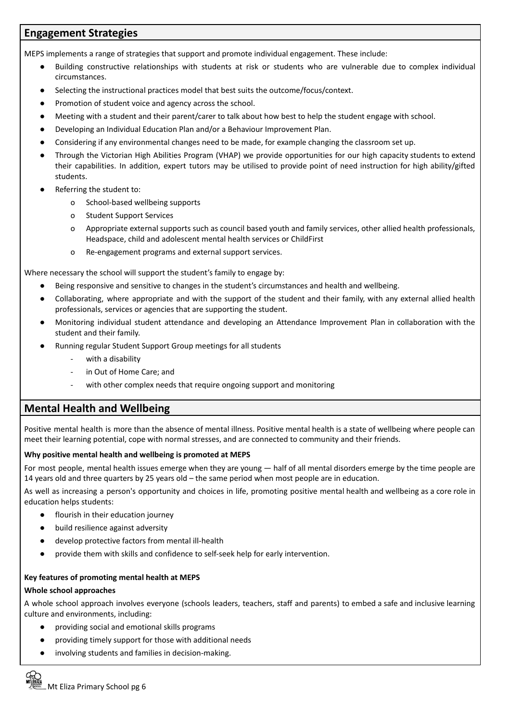## **Engagement Strategies**

MEPS implements a range of strategies that support and promote individual engagement. These include:

- Building constructive relationships with students at risk or students who are vulnerable due to complex individual circumstances.
- Selecting the instructional practices model that best suits the outcome/focus/context.
- Promotion of student voice and agency across the school.
- Meeting with a student and their parent/carer to talk about how best to help the student engage with school.
- Developing an Individual Education Plan and/or a Behaviour Improvement Plan.
- Considering if any environmental changes need to be made, for example changing the classroom set up.
- Through the Victorian High Abilities Program (VHAP) we provide opportunities for our high capacity students to extend their capabilities. In addition, expert tutors may be utilised to provide point of need instruction for high ability/gifted students.
- Referring the student to:
	- o School-based wellbeing supports
	- o Student Support Services
	- o Appropriate external supports such as council based youth and family services, other allied health professionals, Headspace, child and adolescent mental health services or ChildFirst
	- o Re-engagement programs and external support services.

Where necessary the school will support the student's family to engage by:

- Being responsive and sensitive to changes in the student's circumstances and health and wellbeing.
- Collaborating, where appropriate and with the support of the student and their family, with any external allied health professionals, services or agencies that are supporting the student.
- Monitoring individual student attendance and developing an Attendance Improvement Plan in collaboration with the student and their family.
- Running regular Student Support Group meetings for all students
	- with a disability
	- in Out of Home Care; and
	- with other complex needs that require ongoing support and monitoring

## **Mental Health and Wellbeing**

Positive mental health is more than the absence of mental illness. Positive mental health is a state of wellbeing where people can meet their learning potential, cope with normal stresses, and are connected to community and their friends.

#### **Why positive mental health and wellbeing is promoted at MEPS**

For most people, mental health issues emerge when they are young — half of all mental disorders emerge by the time people are 14 years old and three quarters by 25 years old – the same period when most people are in education.

As well as increasing a person's opportunity and choices in life, promoting positive mental health and wellbeing as a core role in education helps students:

- flourish in their education journey
- build resilience against adversity
- develop protective factors from mental ill-health
- provide them with skills and confidence to self-seek help for early intervention.

#### **Key features of promoting mental health at MEPS**

#### **Whole school approaches**

A whole school approach involves everyone (schools leaders, teachers, staff and parents) to embed a safe and inclusive learning culture and environments, including:

- providing social and emotional skills programs
- providing timely support for those with additional needs
- involving students and families in decision-making.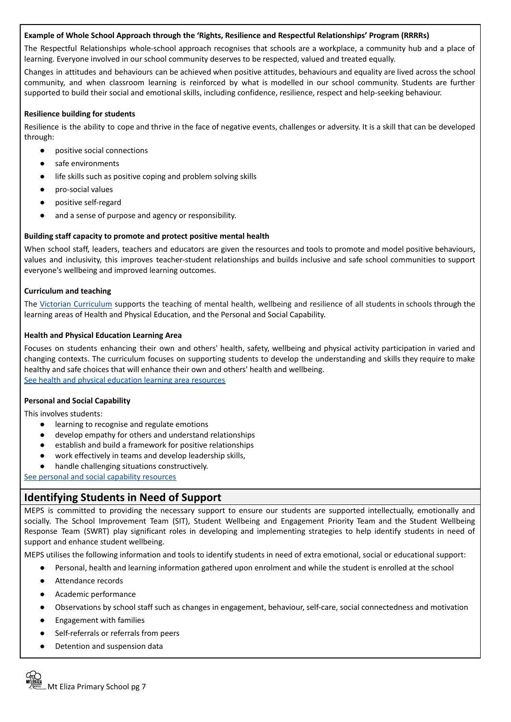#### **Example of Whole School Approach through the 'Rights, Resilience and Respectful Relationships' Program (RRRRs)**

The Respectful Relationships whole-school approach recognises that schools are a workplace, a community hub and a place of learning. Everyone involved in our school community deserves to be respected, valued and treated equally.

Changes in attitudes and behaviours can be achieved when positive attitudes, behaviours and equality are lived across the school community, and when classroom learning is reinforced by what is modelled in our school community. Students are further supported to build their social and emotional skills, including confidence, resilience, respect and help-seeking behaviour.

#### **Resilience building for students**

Resilience is the ability to cope and thrive in the face of negative events, challenges or adversity. It is a skill that can be developed through:

- positive social connections
- safe environments
- life skills such as positive coping and problem solving skills
- pro-social values
- positive self-regard
- and a sense of purpose and agency or responsibility.

#### **Building staff capacity to promote and protect positive mental health**

When school staff, leaders, teachers and educators are given the resources and tools to promote and model positive behaviours, values and inclusivity, this improves teacher-student relationships and builds inclusive and safe school communities to support everyone's wellbeing and improved learning outcomes.

#### **Curriculum and teaching**

The Victorian [Curriculum](https://victoriancurriculum.vcaa.vic.edu.au/personal-and-social-capability/curriculum/f-10) supports the teaching of mental health, wellbeing and resilience of all students in schools through the learning areas of Health and Physical Education, and the Personal and Social Capability.

#### **Health and Physical Education Learning Area**

Focuses on students enhancing their own and others' health, safety, wellbeing and physical activity participation in varied and changing contexts. The curriculum focuses on supporting students to develop the understanding and skills they require to make healthy and safe choices that will enhance their own and others' health and wellbeing. See health and physical [education](http://fuse.education.vic.gov.au/VC/Teacher?health%20and%20physical%20education) learning area resources

#### **Personal and Social Capability**

This involves students:

- learning to recognise and regulate emotions
- develop empathy for others and understand relationships
- establish and build a framework for positive relationships
- work effectively in teams and develop leadership skills,
- handle challenging situations constructively.

See personal and social capability [resources](http://fuse.education.vic.gov.au/VC/Teacher?personal%20and%20social%20capability)

## **Identifying Students in Need of Support**

MEPS is committed to providing the necessary support to ensure our students are supported intellectually, emotionally and socially. The School Improvement Team (SIT), Student Wellbeing and Engagement Priority Team and the Student Wellbeing Response Team (SWRT) play significant roles in developing and implementing strategies to help identify students in need of support and enhance student wellbeing.

MEPS utilises the following information and tools to identify students in need of extra emotional, social or educational support:

- Personal, health and learning information gathered upon enrolment and while the student is enrolled at the school
- Attendance records
- Academic performance
- Observations by school staff such as changes in engagement, behaviour, self-care, social connectedness and motivation
- Engagement with families
- Self-referrals or referrals from peers
- Detention and suspension data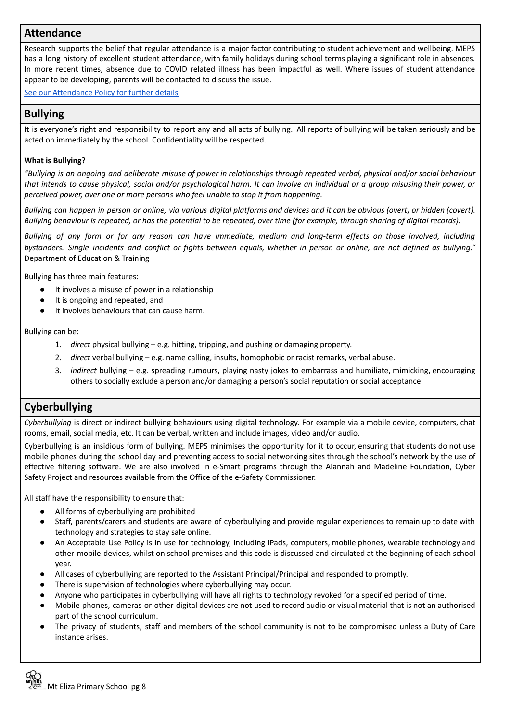## **Attendance**

Research supports the belief that regular attendance is a major factor contributing to student achievement and wellbeing. MEPS has a long history of excellent student attendance, with family holidays during school terms playing a significant role in absences. In more recent times, absence due to COVID related illness has been impactful as well. Where issues of student attendance appear to be developing, parents will be contacted to discuss the issue.

See our [Attendance](https://mtelizaps.vic.edu.au/wp-content/uploads/2022/05/2020-Attendance-Policy.pdf) Policy for further details

## **Bullying**

It is everyone's right and responsibility to report any and all acts of bullying. All reports of bullying will be taken seriously and be acted on immediately by the school. Confidentiality will be respected.

#### **What is Bullying?**

"Bullying is an ongoing and deliberate misuse of power in relationships through repeated verbal, physical and/or social behaviour that intends to cause physical, social and/or psychological harm. It can involve an individual or a group misusing their power, or *perceived power, over one or more persons who feel unable to stop it from happening.*

Bullying can happen in person or online, via various digital platforms and devices and it can be obvious (overt) or hidden (covert). Bullying behaviour is repeated, or has the potential to be repeated, over time (for example, through sharing of digital records).

Bullying of any form or for any reason can have immediate, medium and long-term effects on those involved, including bystanders. Single incidents and conflict or fights between equals, whether in person or online, are not defined as bullying." Department of Education & Training

Bullying has three main features:

- It involves a misuse of power in a relationship
- It is ongoing and repeated, and
- It involves behaviours that can cause harm.

Bullying can be:

- 1. *direct* physical bullying e.g. hitting, tripping, and pushing or damaging property.
- 2. *direct* verbal bullying e.g. name calling, insults, homophobic or racist remarks, verbal abuse.
- 3. *indirect* bullying e.g. spreading rumours, playing nasty jokes to embarrass and humiliate, mimicking, encouraging others to socially exclude a person and/or damaging a person's social reputation or social acceptance.

## **Cyberbullying**

*Cyberbullying* is direct or indirect bullying behaviours using digital technology. For example via a mobile device, computers, chat rooms, email, social media, etc. It can be verbal, written and include images, video and/or audio.

Cyberbullying is an insidious form of bullying. MEPS minimises the opportunity for it to occur, ensuring that students do not use mobile phones during the school day and preventing access to social networking sites through the school's network by the use of effective filtering software. We are also involved in e-Smart programs through the Alannah and Madeline Foundation, Cyber Safety Project and resources available from the Office of the e-Safety Commissioner.

All staff have the responsibility to ensure that:

- All forms of cyberbullying are prohibited
- Staff, parents/carers and students are aware of cyberbullying and provide regular experiences to remain up to date with technology and strategies to stay safe online.
- An Acceptable Use Policy is in use for technology, including iPads, computers, mobile phones, wearable technology and other mobile devices, whilst on school premises and this code is discussed and circulated at the beginning of each school year.
- All cases of cyberbullying are reported to the Assistant Principal/Principal and responded to promptly.
- There is supervision of technologies where cyberbullying may occur.
- Anyone who participates in cyberbullying will have all rights to technology revoked for a specified period of time.
- Mobile phones, cameras or other digital devices are not used to record audio or visual material that is not an authorised part of the school curriculum.
- The privacy of students, staff and members of the school community is not to be compromised unless a Duty of Care instance arises.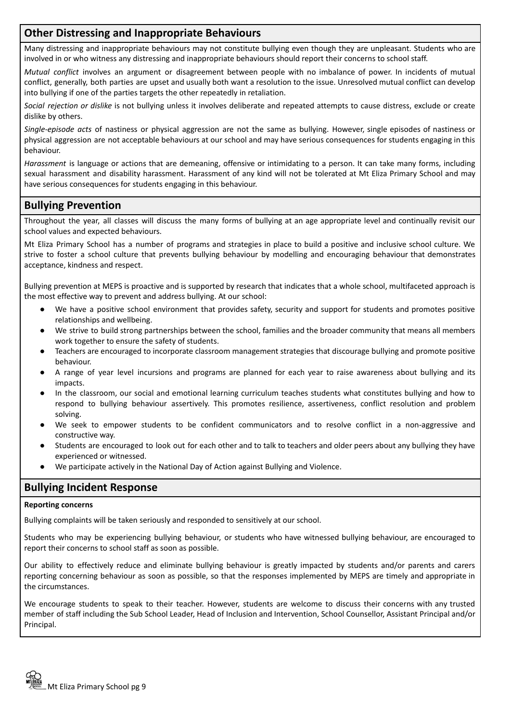## **Other Distressing and Inappropriate Behaviours**

Many distressing and inappropriate behaviours may not constitute bullying even though they are unpleasant. Students who are involved in or who witness any distressing and inappropriate behaviours should report their concerns to school staff.

*Mutual conflict* involves an argument or disagreement between people with no imbalance of power. In incidents of mutual conflict, generally, both parties are upset and usually both want a resolution to the issue. Unresolved mutual conflict can develop into bullying if one of the parties targets the other repeatedly in retaliation.

*Social rejection or dislike* is not bullying unless it involves deliberate and repeated attempts to cause distress, exclude or create dislike by others.

*Single-episode acts* of nastiness or physical aggression are not the same as bullying. However, single episodes of nastiness or physical aggression are not acceptable behaviours at our school and may have serious consequences for students engaging in this behaviour.

*Harassment* is language or actions that are demeaning, offensive or intimidating to a person. It can take many forms, including sexual harassment and disability harassment. Harassment of any kind will not be tolerated at Mt Eliza Primary School and may have serious consequences for students engaging in this behaviour.

## **Bullying Prevention**

Throughout the year, all classes will discuss the many forms of bullying at an age appropriate level and continually revisit our school values and expected behaviours.

Mt Eliza Primary School has a number of programs and strategies in place to build a positive and inclusive school culture. We strive to foster a school culture that prevents bullying behaviour by modelling and encouraging behaviour that demonstrates acceptance, kindness and respect.

Bullying prevention at MEPS is proactive and is supported by research that indicates that a whole school, multifaceted approach is the most effective way to prevent and address bullying. At our school:

- We have a positive school environment that provides safety, security and support for students and promotes positive relationships and wellbeing.
- We strive to build strong partnerships between the school, families and the broader community that means all members work together to ensure the safety of students.
- Teachers are encouraged to incorporate classroom management strategies that discourage bullying and promote positive behaviour.
- A range of year level incursions and programs are planned for each year to raise awareness about bullying and its impacts.
- In the classroom, our social and emotional learning curriculum teaches students what constitutes bullying and how to respond to bullying behaviour assertively. This promotes resilience, assertiveness, conflict resolution and problem solving.
- We seek to empower students to be confident communicators and to resolve conflict in a non-aggressive and constructive way.
- Students are encouraged to look out for each other and to talk to teachers and older peers about any bullying they have experienced or witnessed.
- We participate actively in the National Day of Action against Bullying and Violence.

## **Bullying Incident Response**

#### **Reporting concerns**

Bullying complaints will be taken seriously and responded to sensitively at our school.

Students who may be experiencing bullying behaviour, or students who have witnessed bullying behaviour, are encouraged to report their concerns to school staff as soon as possible.

Our ability to effectively reduce and eliminate bullying behaviour is greatly impacted by students and/or parents and carers reporting concerning behaviour as soon as possible, so that the responses implemented by MEPS are timely and appropriate in the circumstances.

We encourage students to speak to their teacher. However, students are welcome to discuss their concerns with any trusted member of staff including the Sub School Leader, Head of Inclusion and Intervention, School Counsellor, Assistant Principal and/or Principal.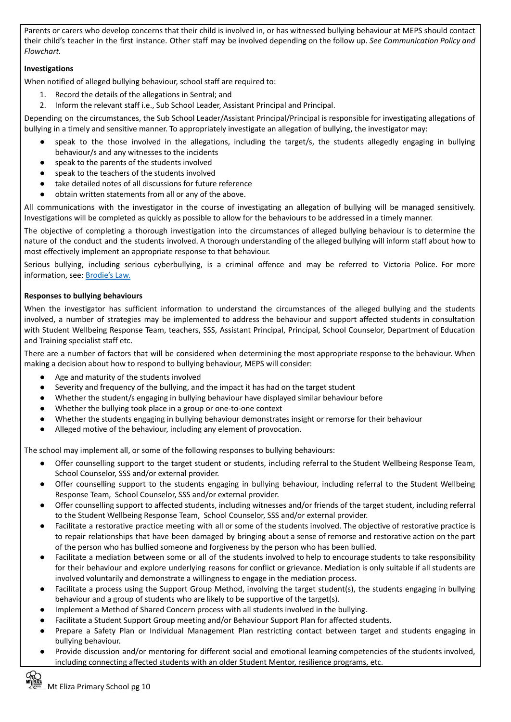Parents or carers who develop concerns that their child is involved in, or has witnessed bullying behaviour at MEPS should contact their child's teacher in the first instance. Other staff may be involved depending on the follow up. *See Communication Policy and Flowchart.*

#### **Investigations**

When notified of alleged bullying behaviour, school staff are required to:

- 1. Record the details of the allegations in Sentral; and
- 2. Inform the relevant staff i.e., Sub School Leader, Assistant Principal and Principal.

Depending on the circumstances, the Sub School Leader/Assistant Principal/Principal is responsible for investigating allegations of bullying in a timely and sensitive manner. To appropriately investigate an allegation of bullying, the investigator may:

- speak to the those involved in the allegations, including the target/s, the students allegedly engaging in bullying behaviour/s and any witnesses to the incidents
- speak to the parents of the students involved
- speak to the teachers of the students involved
- take detailed notes of all discussions for future reference
- obtain written statements from all or any of the above.

All communications with the investigator in the course of investigating an allegation of bullying will be managed sensitively. Investigations will be completed as quickly as possible to allow for the behaviours to be addressed in a timely manner.

The objective of completing a thorough investigation into the circumstances of alleged bullying behaviour is to determine the nature of the conduct and the students involved. A thorough understanding of the alleged bullying will inform staff about how to most effectively implement an appropriate response to that behaviour.

Serious bullying, including serious cyberbullying, is a criminal offence and may be referred to Victoria Police. For more information, see: [Brodie's](http://www.education.vic.gov.au/about/programs/bullystoppers/Pages/advicesheetbrodieslaw.aspx) Law.

#### **Responses to bullying behaviours**

When the investigator has sufficient information to understand the circumstances of the alleged bullying and the students involved, a number of strategies may be implemented to address the behaviour and support affected students in consultation with Student Wellbeing Response Team, teachers, SSS, Assistant Principal, Principal, School Counselor, Department of Education and Training specialist staff etc.

There are a number of factors that will be considered when determining the most appropriate response to the behaviour. When making a decision about how to respond to bullying behaviour, MEPS will consider:

- Age and maturity of the students involved
- Severity and frequency of the bullying, and the impact it has had on the target student
- Whether the student/s engaging in bullying behaviour have displayed similar behaviour before
- Whether the bullying took place in a group or one-to-one context
- Whether the students engaging in bullying behaviour demonstrates insight or remorse for their behaviour
- Alleged motive of the behaviour, including any element of provocation.

The school may implement all, or some of the following responses to bullying behaviours:

- Offer counselling support to the target student or students, including referral to the Student Wellbeing Response Team, School Counselor, SSS and/or external provider.
- Offer counselling support to the students engaging in bullying behaviour, including referral to the Student Wellbeing Response Team, School Counselor, SSS and/or external provider.
- Offer counselling support to affected students, including witnesses and/or friends of the target student, including referral to the Student Wellbeing Response Team, School Counselor, SSS and/or external provider.
- Facilitate a restorative practice meeting with all or some of the students involved. The objective of restorative practice is to repair relationships that have been damaged by bringing about a sense of remorse and restorative action on the part of the person who has bullied someone and forgiveness by the person who has been bullied.
- Facilitate a mediation between some or all of the students involved to help to encourage students to take responsibility for their behaviour and explore underlying reasons for conflict or grievance. Mediation is only suitable if all students are involved voluntarily and demonstrate a willingness to engage in the mediation process.
- Facilitate a process using the Support Group Method, involving the target student(s), the students engaging in bullying behaviour and a group of students who are likely to be supportive of the target(s).
- Implement a Method of Shared Concern process with all students involved in the bullying.
- Facilitate a Student Support Group meeting and/or Behaviour Support Plan for affected students.
- Prepare a Safety Plan or Individual Management Plan restricting contact between target and students engaging in bullying behaviour.
- Provide discussion and/or mentoring for different social and emotional learning competencies of the students involved, including connecting affected students with an older Student Mentor, resilience programs, etc.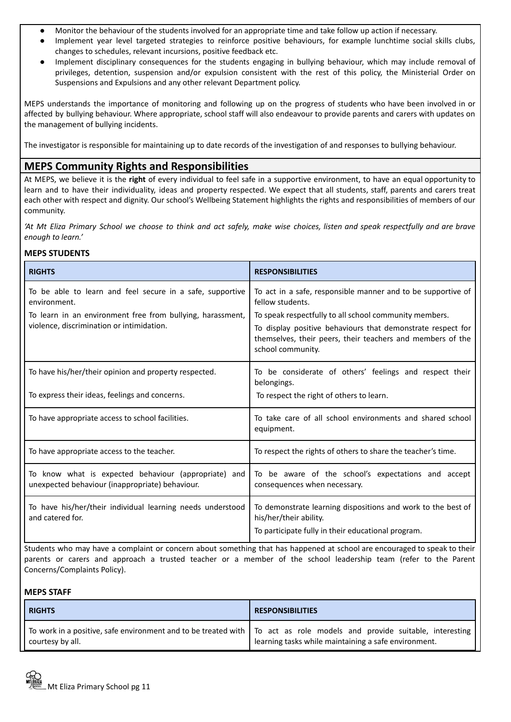- Monitor the behaviour of the students involved for an appropriate time and take follow up action if necessary.
- Implement year level targeted strategies to reinforce positive behaviours, for example lunchtime social skills clubs, changes to schedules, relevant incursions, positive feedback etc.
- Implement disciplinary consequences for the students engaging in bullying behaviour, which may include removal of privileges, detention, suspension and/or expulsion consistent with the rest of this policy, the Ministerial Order on Suspensions and Expulsions and any other relevant Department policy.

MEPS understands the importance of monitoring and following up on the progress of students who have been involved in or affected by bullying behaviour. Where appropriate, school staff will also endeavour to provide parents and carers with updates on the management of bullying incidents.

The investigator is responsible for maintaining up to date records of the investigation of and responses to bullying behaviour.

## **MEPS Community Rights and Responsibilities**

At MEPS, we believe it is the **right** of every individual to feel safe in a supportive environment, to have an equal opportunity to learn and to have their individuality, ideas and property respected. We expect that all students, staff, parents and carers treat each other with respect and dignity. Our school's Wellbeing Statement highlights the rights and responsibilities of members of our community.

'At Mt Eliza Primary School we choose to think and act safely, make wise choices, listen and speak respectfully and are brave *enough to learn.'*

#### **MEPS STUDENTS**

| <b>RIGHTS</b>                                                                                           | <b>RESPONSIBILITIES</b>                                                                                                                        |
|---------------------------------------------------------------------------------------------------------|------------------------------------------------------------------------------------------------------------------------------------------------|
| To be able to learn and feel secure in a safe, supportive<br>environment.                               | To act in a safe, responsible manner and to be supportive of<br>fellow students.                                                               |
| To learn in an environment free from bullying, harassment,                                              | To speak respectfully to all school community members.                                                                                         |
| violence, discrimination or intimidation.                                                               | To display positive behaviours that demonstrate respect for<br>themselves, their peers, their teachers and members of the<br>school community. |
| To have his/her/their opinion and property respected.                                                   | To be considerate of others' feelings and respect their<br>belongings.                                                                         |
| To express their ideas, feelings and concerns.                                                          | To respect the right of others to learn.                                                                                                       |
| To have appropriate access to school facilities.                                                        | To take care of all school environments and shared school<br>equipment.                                                                        |
| To have appropriate access to the teacher.                                                              | To respect the rights of others to share the teacher's time.                                                                                   |
| To know what is expected behaviour (appropriate) and<br>unexpected behaviour (inappropriate) behaviour. | To be aware of the school's expectations and accept<br>consequences when necessary.                                                            |
| To have his/her/their individual learning needs understood<br>and catered for.                          | To demonstrate learning dispositions and work to the best of<br>his/her/their ability.                                                         |
|                                                                                                         | To participate fully in their educational program.                                                                                             |

Students who may have a complaint or concern about something that has happened at school are encouraged to speak to their parents or carers and approach a trusted teacher or a member of the school leadership team (refer to the Parent Concerns/Complaints Policy).

#### **MEPS STAFF**

| <b>RIGHTS</b>    | <b>RESPONSIBILITIES</b>                                                                                                                                                                        |
|------------------|------------------------------------------------------------------------------------------------------------------------------------------------------------------------------------------------|
| courtesy by all. | To work in a positive, safe environment and to be treated with $\vert$ To act as role models and provide suitable, interesting $\vert$<br>learning tasks while maintaining a safe environment. |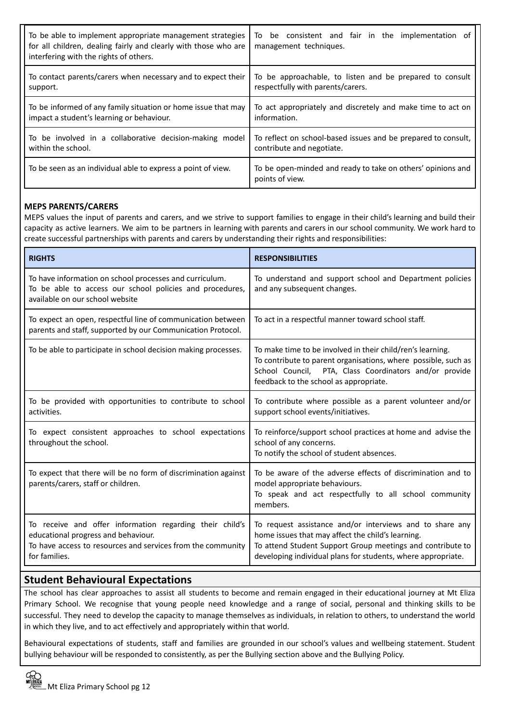| To be able to implement appropriate management strategies<br>for all children, dealing fairly and clearly with those who are<br>interfering with the rights of others. | To be consistent and fair in the implementation of<br>management techniques.   |
|------------------------------------------------------------------------------------------------------------------------------------------------------------------------|--------------------------------------------------------------------------------|
| To contact parents/carers when necessary and to expect their                                                                                                           | To be approachable, to listen and be prepared to consult                       |
| support.                                                                                                                                                               | respectfully with parents/carers.                                              |
| To be informed of any family situation or home issue that may                                                                                                          | To act appropriately and discretely and make time to act on                    |
| impact a student's learning or behaviour.                                                                                                                              | information.                                                                   |
| To be involved in a collaborative decision-making model                                                                                                                | To reflect on school-based issues and be prepared to consult,                  |
| within the school.                                                                                                                                                     | contribute and negotiate.                                                      |
| To be seen as an individual able to express a point of view.                                                                                                           | To be open-minded and ready to take on others' opinions and<br>points of view. |

#### **MEPS PARENTS/CARERS**

MEPS values the input of parents and carers, and we strive to support families to engage in their child's learning and build their capacity as active learners. We aim to be partners in learning with parents and carers in our school community. We work hard to create successful partnerships with parents and carers by understanding their rights and responsibilities:

| <b>RIGHTS</b>                                                                                                                                                                   | <b>RESPONSIBILITIES</b>                                                                                                                                                                                                                     |
|---------------------------------------------------------------------------------------------------------------------------------------------------------------------------------|---------------------------------------------------------------------------------------------------------------------------------------------------------------------------------------------------------------------------------------------|
| To have information on school processes and curriculum.<br>To be able to access our school policies and procedures,<br>available on our school website                          | To understand and support school and Department policies<br>and any subsequent changes.                                                                                                                                                     |
| To expect an open, respectful line of communication between<br>parents and staff, supported by our Communication Protocol.                                                      | To act in a respectful manner toward school staff.                                                                                                                                                                                          |
| To be able to participate in school decision making processes.                                                                                                                  | To make time to be involved in their child/ren's learning.<br>To contribute to parent organisations, where possible, such as<br>School Council, PTA, Class Coordinators and/or provide<br>feedback to the school as appropriate.            |
| To be provided with opportunities to contribute to school<br>activities.                                                                                                        | To contribute where possible as a parent volunteer and/or<br>support school events/initiatives.                                                                                                                                             |
| To expect consistent approaches to school expectations<br>throughout the school.                                                                                                | To reinforce/support school practices at home and advise the<br>school of any concerns.<br>To notify the school of student absences.                                                                                                        |
| To expect that there will be no form of discrimination against<br>parents/carers, staff or children.                                                                            | To be aware of the adverse effects of discrimination and to<br>model appropriate behaviours.<br>To speak and act respectfully to all school community<br>members.                                                                           |
| To receive and offer information regarding their child's<br>educational progress and behaviour.<br>To have access to resources and services from the community<br>for families. | To request assistance and/or interviews and to share any<br>home issues that may affect the child's learning.<br>To attend Student Support Group meetings and contribute to<br>developing individual plans for students, where appropriate. |

## **Student Behavioural Expectations**

The school has clear approaches to assist all students to become and remain engaged in their educational journey at Mt Eliza Primary School. We recognise that young people need knowledge and a range of social, personal and thinking skills to be successful. They need to develop the capacity to manage themselves as individuals, in relation to others, to understand the world in which they live, and to act effectively and appropriately within that world.

Behavioural expectations of students, staff and families are grounded in our school's values and wellbeing statement. Student bullying behaviour will be responded to consistently, as per the Bullying section above and the Bullying Policy.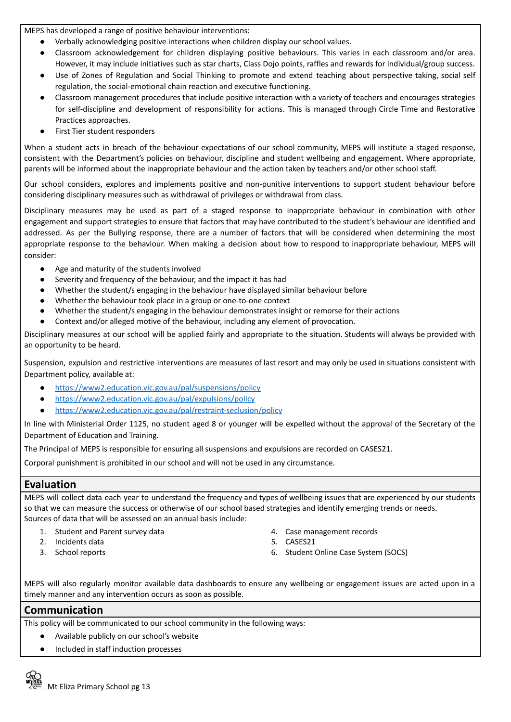MEPS has developed a range of positive behaviour interventions:

- Verbally acknowledging positive interactions when children display our school values.
- Classroom acknowledgement for children displaying positive behaviours. This varies in each classroom and/or area.
- However, it may include initiatives such as star charts, Class Dojo points, raffles and rewards for individual/group success. Use of Zones of Regulation and Social Thinking to promote and extend teaching about perspective taking, social self regulation, the social-emotional chain reaction and executive functioning.
- Classroom management procedures that include positive interaction with a variety of teachers and encourages strategies for self-discipline and development of responsibility for actions. This is managed through Circle Time and Restorative Practices approaches.
- First Tier student responders

When a student acts in breach of the behaviour expectations of our school community, MEPS will institute a staged response, consistent with the Department's policies on behaviour, discipline and student wellbeing and engagement. Where appropriate, parents will be informed about the inappropriate behaviour and the action taken by teachers and/or other school staff.

Our school considers, explores and implements positive and non-punitive interventions to support student behaviour before considering disciplinary measures such as withdrawal of privileges or withdrawal from class.

Disciplinary measures may be used as part of a staged response to inappropriate behaviour in combination with other engagement and support strategies to ensure that factors that may have contributed to the student's behaviour are identified and addressed. As per the Bullying response, there are a number of factors that will be considered when determining the most appropriate response to the behaviour. When making a decision about how to respond to inappropriate behaviour, MEPS will consider:

- Age and maturity of the students involved
- Severity and frequency of the behaviour, and the impact it has had
- Whether the student/s engaging in the behaviour have displayed similar behaviour before
- Whether the behaviour took place in a group or one-to-one context
- Whether the student/s engaging in the behaviour demonstrates insight or remorse for their actions
- Context and/or alleged motive of the behaviour, including any element of provocation.

Disciplinary measures at our school will be applied fairly and appropriate to the situation. Students will always be provided with an opportunity to be heard.

Suspension, expulsion and restrictive interventions are measures of last resort and may only be used in situations consistent with Department policy, available at:

- <https://www2.education.vic.gov.au/pal/suspensions/policy>
- <https://www2.education.vic.gov.au/pal/expulsions/policy>
- <https://www2.education.vic.gov.au/pal/restraint-seclusion/policy>

In line with Ministerial Order 1125, no student aged 8 or younger will be expelled without the approval of the Secretary of the Department of Education and Training.

The Principal of MEPS is responsible for ensuring all suspensions and expulsions are recorded on CASES21.

Corporal punishment is prohibited in our school and will not be used in any circumstance.

## **Evaluation**

MEPS will collect data each year to understand the frequency and types of wellbeing issues that are experienced by our students so that we can measure the success or otherwise of our school based strategies and identify emerging trends or needs. Sources of data that will be assessed on an annual basis include:

- 1. Student and Parent survey data 4. Case management records
- 2. Incidents data 5. CASES21
- 
- 
- 
- 3. School reports 6. Student Online Case System (SOCS)

MEPS will also regularly monitor available data dashboards to ensure any wellbeing or engagement issues are acted upon in a timely manner and any intervention occurs as soon as possible.

#### **Communication**

This policy will be communicated to our school community in the following ways:

- Available publicly on our school's website
- Included in staff induction processes